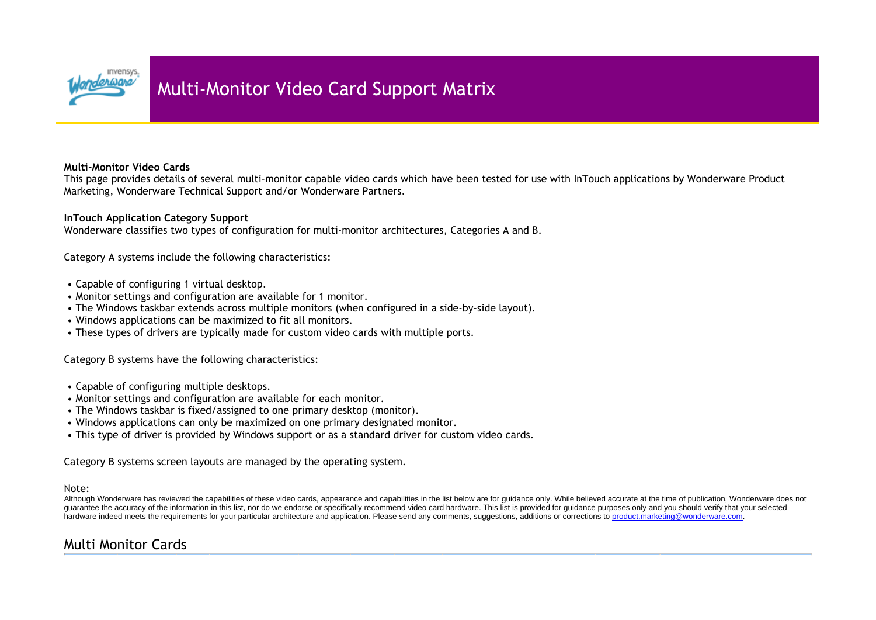

## **Multi-Monitor Video Cards**

This page provides details of several multi-monitor capable video cards which have been tested for use with InTouch applications by Wonderware Product Marketing, Wonderware Technical Support and/or Wonderware Partners.

## **InTouch Application Category Support**

Wonderware classifies two types of configuration for multi-monitor architectures, Categories A and B.

Category A systems include the following characteristics:

- Capable of configuring 1 virtual desktop.
- Monitor settings and configuration are available for 1 monitor.
- The Windows taskbar extends across multiple monitors (when configured in a side-by-side layout).
- Windows applications can be maximized to fit all monitors.
- These types of drivers are typically made for custom video cards with multiple ports.

Category B systems have the following characteristics:

- Capable of configuring multiple desktops.
- Monitor settings and configuration are available for each monitor.
- The Windows taskbar is fixed/assigned to one primary desktop (monitor).
- Windows applications can only be maximized on one primary designated monitor.
- This type of driver is provided by Windows support or as a standard driver for custom video cards.

Category B systems screen layouts are managed by the operating system.

## Note:

Although Wonderware has reviewed the capabilities of these video cards, appearance and capabilities in the list below are for guidance only. While believed accurate at the time of publication, Wonderware does not guarantee the accuracy of the information in this list, nor do we endorse or specifically recommend video card hardware. This list is provided for guidance purposes only and you should verify that your selected hardware indeed meets the requirements for your particular architecture and application. Please send any comments, suggestions, additions or corrections to product.marketing@wonderware.com.

## Multi Monitor Cards